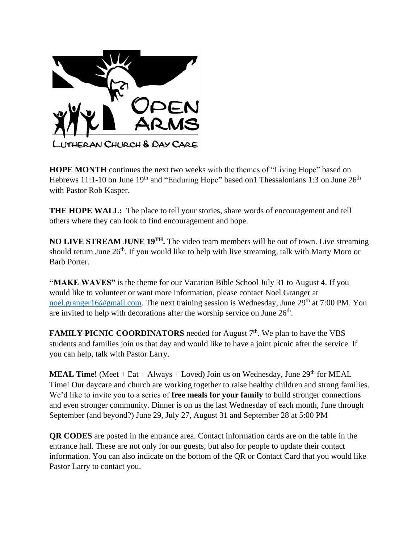

**HOPE MONTH** continues the next two weeks with the themes of "Living Hope" based on Hebrews 11:1-10 on June  $19<sup>th</sup>$  and "Enduring Hope" based on1 Thessalonians 1:3 on June  $26<sup>th</sup>$ with Pastor Rob Kasper.

**THE HOPE WALL:** The place to tell your stories, share words of encouragement and tell others where they can look to find encouragement and hope.

**NO LIVE STREAM JUNE 19TH.** The video team members will be out of town. Live streaming should return June 26<sup>th</sup>. If you would like to help with live streaming, talk with Marty Moro or Barb Porter.

**"MAKE WAVES"** is the theme for our Vacation Bible School July 31 to August 4. If you would like to volunteer or want more information, please contact Noel Granger at [noel.granger16@gmail.com.](mailto:noel.granger16@gmail.com) The next training session is Wednesday, June  $29<sup>th</sup>$  at 7:00 PM. You are invited to help with decorations after the worship service on June  $26<sup>th</sup>$ .

**FAMILY PICNIC COORDINATORS** needed for August 7<sup>th</sup>. We plan to have the VBS students and families join us that day and would like to have a joint picnic after the service. If you can help, talk with Pastor Larry.

**MEAL Time!** (Meet  $+$  Eat  $+$  Always  $+$  Loved) Join us on Wednesday, June 29<sup>th</sup> for MEAL Time! Our daycare and church are working together to raise healthy children and strong families. We'd like to invite you to a series of **free meals for your family** to build stronger connections and even stronger community. Dinner is on us the last Wednesday of each month, June through September (and beyond?) June 29, July 27, August 31 and September 28 at 5:00 PM

**QR CODES** are posted in the entrance area. Contact information cards are on the table in the entrance hall. These are not only for our guests, but also for people to update their contact information. You can also indicate on the bottom of the QR or Contact Card that you would like Pastor Larry to contact you.